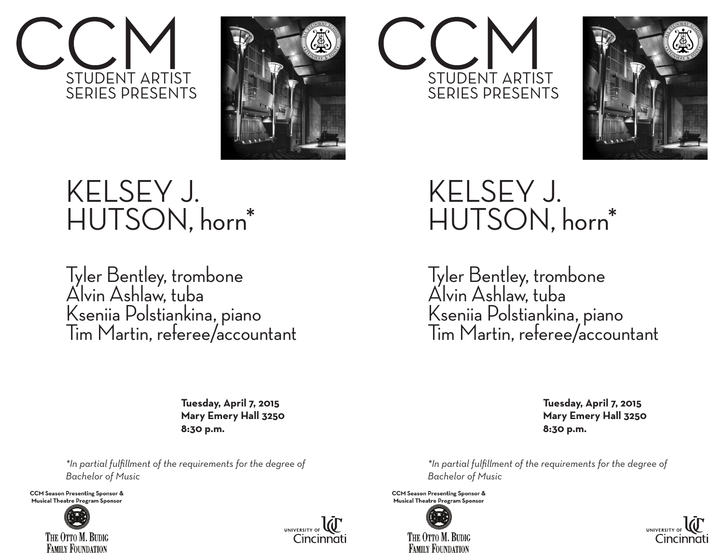



## KELSEY J. HUTSON, horn\*

Tyler Bentley, trombone Alvin Ashlaw, tuba Kseniia Polstiankina, piano Tim Martin, referee/accountant

> **Tuesday, April 7, 2015 Mary Emery Hall 3250 8:30 p.m.**

*\*In partial fulfillment of the requirements for the degree of Bachelor of Music* 

**CCM Season Presenting Sponsor & Musical Theatre Program Sponsor**